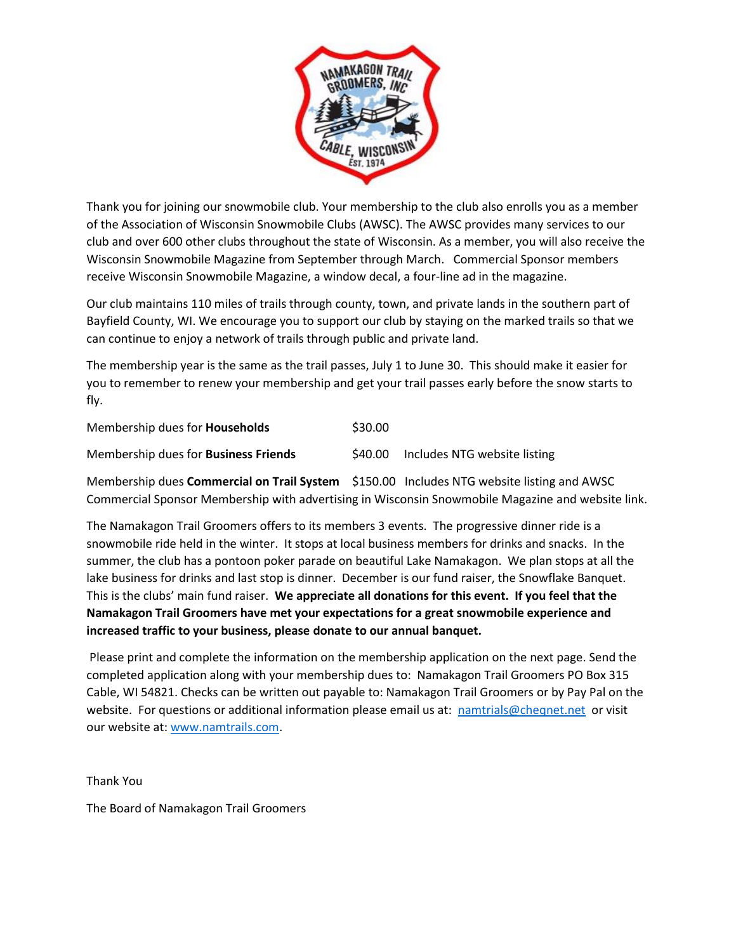

Thank you for joining our snowmobile club. Your membership to the club also enrolls you as a member of the Association of Wisconsin Snowmobile Clubs (AWSC). The AWSC provides many services to our club and over 600 other clubs throughout the state of Wisconsin. As a member, you will also receive the Wisconsin Snowmobile Magazine from September through March. Commercial Sponsor members receive Wisconsin Snowmobile Magazine, a window decal, a four-line ad in the magazine.

Our club maintains 110 miles of trails through county, town, and private lands in the southern part of Bayfield County, WI. We encourage you to support our club by staying on the marked trails so that we can continue to enjoy a network of trails through public and private land.

The membership year is the same as the trail passes, July 1 to June 30. This should make it easier for you to remember to renew your membership and get your trail passes early before the snow starts to fly.

| Membership dues for <b>Households</b>       | \$30.00 |                              |
|---------------------------------------------|---------|------------------------------|
| Membership dues for <b>Business Friends</b> | S40.00  | Includes NTG website listing |

Membership dues **Commercial on Trail System** \$150.00 Includes NTG website listing and AWSC Commercial Sponsor Membership with advertising in Wisconsin Snowmobile Magazine and website link.

The Namakagon Trail Groomers offers to its members 3 events. The progressive dinner ride is a snowmobile ride held in the winter. It stops at local business members for drinks and snacks. In the summer, the club has a pontoon poker parade on beautiful Lake Namakagon. We plan stops at all the lake business for drinks and last stop is dinner. December is our fund raiser, the Snowflake Banquet. This is the clubs' main fund raiser. **We appreciate all donations for this event. If you feel that the Namakagon Trail Groomers have met your expectations for a great snowmobile experience and increased traffic to your business, please donate to our annual banquet.**

Please print and complete the information on the membership application on the next page. Send the completed application along with your membership dues to: Namakagon Trail Groomers PO Box 315 Cable, WI 54821. Checks can be written out payable to: Namakagon Trail Groomers or by Pay Pal on the website. For questions or additional information please email us at: [namtrials@cheqnet.net](mailto:namtrials@cheqnet.net) or visit our website at: [www.namtrails.com.](http://www.namtrails.com/)

Thank You

The Board of Namakagon Trail Groomers